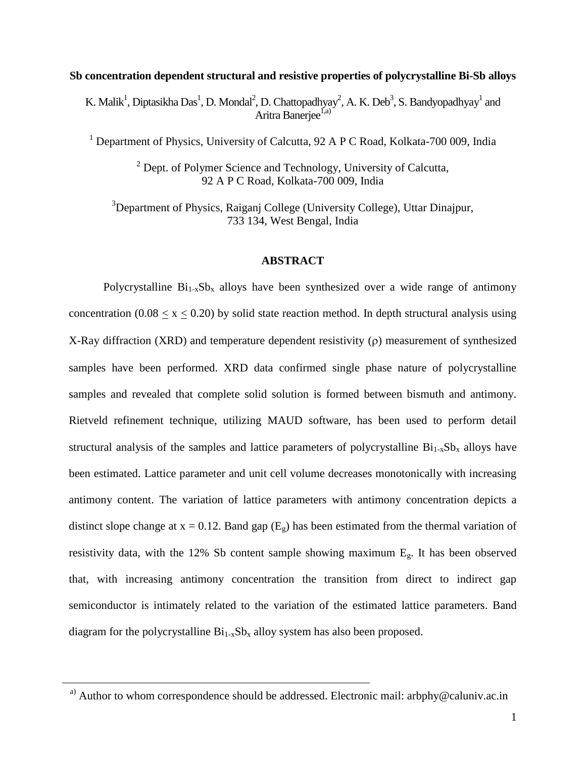**Sb concentration dependent structural and resistive properties of polycrystalline Bi-Sb alloys**

K. Malik<sup>1</sup>, Diptasikha Das<sup>1</sup>, D. Mondal<sup>2</sup>, D. Chattopadhyay<sup>2</sup>, A. K. Deb<sup>3</sup>, S. Bandyopadhyay<sup>1</sup> and Aritra Baneriee<sup>1,a)</sup>

<sup>1</sup> Department of Physics, University of Calcutta, 92 A P C Road, Kolkata-700 009, India

<sup>2</sup> Dept. of Polymer Science and Technology, University of Calcutta, 92 A P C Road, Kolkata-700 009, India

<sup>3</sup>Department of Physics, Raiganj College (University College), Uttar Dinajpur, 733 134, West Bengal, India

### **ABSTRACT**

Polycrystalline  $Bi_{1-x}Sb_x$  alloys have been synthesized over a wide range of antimony concentration  $(0.08 < x < 0.20)$  by solid state reaction method. In depth structural analysis using X-Ray diffraction (XRD) and temperature dependent resistivity  $(\rho)$  measurement of synthesized samples have been performed. XRD data confirmed single phase nature of polycrystalline samples and revealed that complete solid solution is formed between bismuth and antimony. Rietveld refinement technique, utilizing MAUD software, has been used to perform detail structural analysis of the samples and lattice parameters of polycrystalline  $Bi_{1-x}Sb_x$  alloys have been estimated. Lattice parameter and unit cell volume decreases monotonically with increasing antimony content. The variation of lattice parameters with antimony concentration depicts a distinct slope change at  $x = 0.12$ . Band gap (E<sub>g</sub>) has been estimated from the thermal variation of resistivity data, with the 12% Sb content sample showing maximum Eg. It has been observed that, with increasing antimony concentration the transition from direct to indirect gap semiconductor is intimately related to the variation of the estimated lattice parameters. Band diagram for the polycrystalline  $Bi_{1-x}Sb_x$  alloy system has also been proposed.

<sup>&</sup>lt;sup>a)</sup> Author to whom correspondence should be addressed. Electronic mail: arbphy@caluniv.ac.in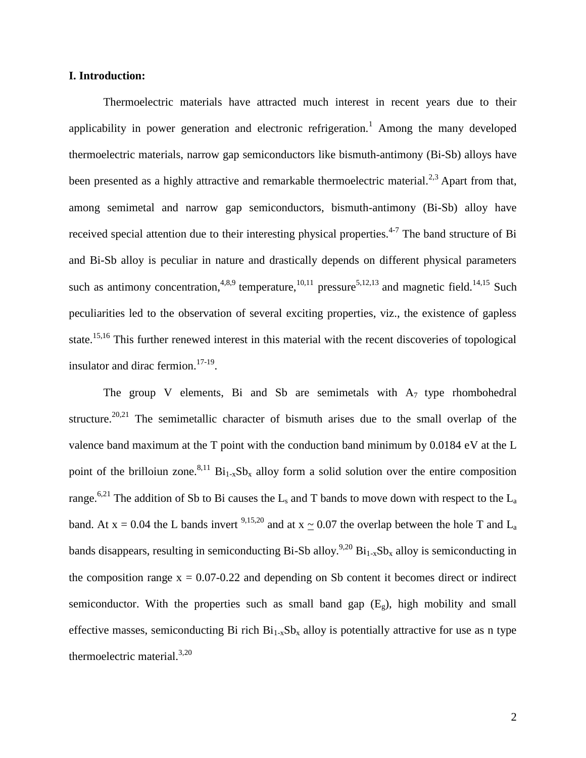# **I. Introduction:**

Thermoelectric materials have attracted much interest in recent years due to their applicability in power generation and electronic refrigeration.<sup>1</sup> Among the many developed thermoelectric materials, narrow gap semiconductors like bismuth-antimony (Bi-Sb) alloys have been presented as a highly attractive and remarkable thermoelectric material.<sup>2,3</sup> Apart from that, among semimetal and narrow gap semiconductors, bismuth-antimony (Bi-Sb) alloy have received special attention due to their interesting physical properties.<sup>4-7</sup> The band structure of Bi and Bi-Sb alloy is peculiar in nature and drastically depends on different physical parameters such as antimony concentration,<sup>4,8,9</sup> temperature,<sup>10,11</sup> pressure<sup>5,12,13</sup> and magnetic field.<sup>14,15</sup> Such peculiarities led to the observation of several exciting properties, viz., the existence of gapless state.15,16 This further renewed interest in this material with the recent discoveries of topological insulator and dirac fermion.<sup>17-19</sup>.

The group V elements, Bi and Sb are semimetals with  $A_7$  type rhombohedral structure.<sup>20,21</sup> The semimetallic character of bismuth arises due to the small overlap of the valence band maximum at the T point with the conduction band minimum by 0.0184 eV at the L point of the brilloiun zone.<sup>8,11</sup> Bi<sub>1-x</sub>Sb<sub>x</sub> alloy form a solid solution over the entire composition range.<sup>6,21</sup> The addition of Sb to Bi causes the L<sub>s</sub> and T bands to move down with respect to the L<sub>a</sub> band. At  $x = 0.04$  the L bands invert <sup>9,15,20</sup> and at  $x \approx 0.07$  the overlap between the hole T and L<sub>a</sub> bands disappears, resulting in semiconducting Bi-Sb alloy.<sup>9,20</sup> Bi<sub>1-x</sub>Sb<sub>x</sub> alloy is semiconducting in the composition range  $x = 0.07 - 0.22$  and depending on Sb content it becomes direct or indirect semiconductor. With the properties such as small band gap  $(E_g)$ , high mobility and small effective masses, semiconducting Bi rich  $Bi_{1-x}Sb_x$  alloy is potentially attractive for use as n type thermoelectric material. $3,20$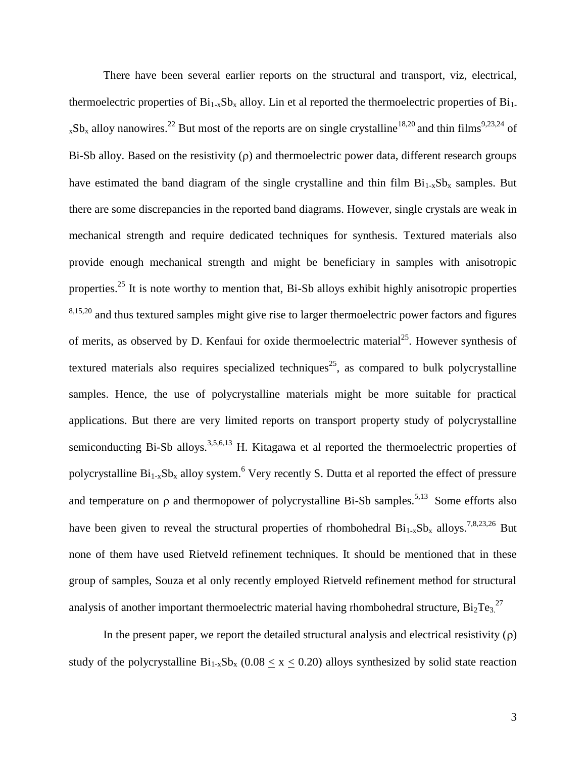There have been several earlier reports on the structural and transport, viz, electrical, thermoelectric properties of  $Bi_{1-x}Sb_x$  alloy. Lin et al reported the thermoelectric properties of  $Bi_{1-x}$  $_{x}Sb_{x}$  alloy nanowires.<sup>22</sup> But most of the reports are on single crystalline<sup>18,20</sup> and thin films<sup>9,23,24</sup> of Bi-Sb alloy. Based on the resistivity  $(\rho)$  and thermoelectric power data, different research groups have estimated the band diagram of the single crystalline and thin film  $Bi_{1-x}Sb_x$  samples. But there are some discrepancies in the reported band diagrams. However, single crystals are weak in mechanical strength and require dedicated techniques for synthesis. Textured materials also provide enough mechanical strength and might be beneficiary in samples with anisotropic properties.<sup>25</sup> It is note worthy to mention that, Bi-Sb alloys exhibit highly anisotropic properties  $8,15,20$  and thus textured samples might give rise to larger thermoelectric power factors and figures of merits, as observed by D. Kenfaui for oxide thermoelectric material<sup>25</sup>. However synthesis of textured materials also requires specialized techniques<sup>25</sup>, as compared to bulk polycrystalline samples. Hence, the use of polycrystalline materials might be more suitable for practical applications. But there are very limited reports on transport property study of polycrystalline semiconducting Bi-Sb alloys.<sup>3,5,6,13</sup> H. Kitagawa et al reported the thermoelectric properties of polycrystalline  $Bi_{1-x}Sb_x$  alloy system.<sup>6</sup> Very recently S. Dutta et al reported the effect of pressure and temperature on  $\rho$  and thermopower of polycrystalline Bi-Sb samples.<sup>5,13</sup> Some efforts also have been given to reveal the structural properties of rhombohedral  $Bi_{1-x}Sb_x$  alloys.<sup>7,8,23,26</sup> But none of them have used Rietveld refinement techniques. It should be mentioned that in these group of samples, Souza et al only recently employed Rietveld refinement method for structural analysis of another important thermoelectric material having rhombohedral structure,  $Bi_2Te_3$ <sup>27</sup>

In the present paper, we report the detailed structural analysis and electrical resistivity  $(\rho)$ study of the polycrystalline  $Bi_{1-x}Sb_x$  (0.08  $\leq x \leq$  0.20) alloys synthesized by solid state reaction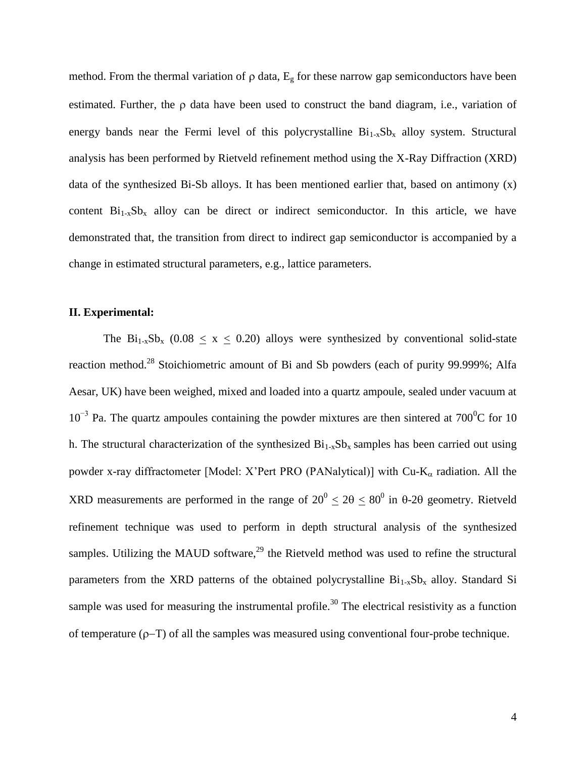method. From the thermal variation of  $\rho$  data,  $E_g$  for these narrow gap semiconductors have been estimated. Further, the  $\rho$  data have been used to construct the band diagram, i.e., variation of energy bands near the Fermi level of this polycrystalline  $Bi_{1-x}Sb_x$  alloy system. Structural analysis has been performed by Rietveld refinement method using the X-Ray Diffraction (XRD) data of the synthesized Bi-Sb alloys. It has been mentioned earlier that, based on antimony  $(x)$ content  $Bi_{1-x}Sb_x$  alloy can be direct or indirect semiconductor. In this article, we have demonstrated that, the transition from direct to indirect gap semiconductor is accompanied by a change in estimated structural parameters, e.g., lattice parameters.

### **II. Experimental:**

The Bi<sub>1-x</sub>Sb<sub>x</sub> (0.08  $\leq$  x  $\leq$  0.20) alloys were synthesized by conventional solid-state reaction method.<sup>28</sup> Stoichiometric amount of Bi and Sb powders (each of purity 99.999%; Alfa Aesar, UK) have been weighed, mixed and loaded into a quartz ampoule, sealed under vacuum at  $10^{-3}$  Pa. The quartz ampoules containing the powder mixtures are then sintered at 700<sup>0</sup>C for 10 h. The structural characterization of the synthesized  $Bi_{1-x}Sb_x$  samples has been carried out using powder x-ray diffractometer [Model: X'Pert PRO (PANalytical)] with  $Cu$ - $K_{\alpha}$  radiation. All the XRD measurements are performed in the range of  $20^{\circ} \le 20 \le 80^{\circ}$  in 0-20 geometry. Rietveld refinement technique was used to perform in depth structural analysis of the synthesized samples. Utilizing the MAUD software, $^{29}$  the Rietveld method was used to refine the structural parameters from the XRD patterns of the obtained polycrystalline  $Bi_{1-x}Sb_x$  alloy. Standard Si sample was used for measuring the instrumental profile.<sup>30</sup> The electrical resistivity as a function of temperature  $(\rho-T)$  of all the samples was measured using conventional four-probe technique.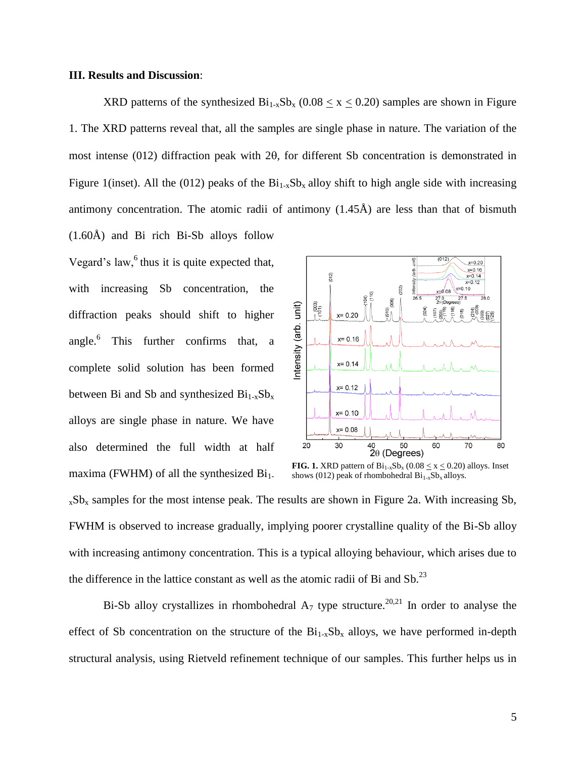#### **III. Results and Discussion**:

XRD patterns of the synthesized  $Bi_{1-x}Sb_x$  (0.08 < x < 0.20) samples are shown in Figure 1. The XRD patterns reveal that, all the samples are single phase in nature. The variation of the most intense (012) diffraction peak with  $2\theta$ , for different Sb concentration is demonstrated in Figure 1(inset). All the (012) peaks of the  $Bi_{1-x}Sb_x$  alloy shift to high angle side with increasing antimony concentration. The atomic radii of antimony  $(1.45\text{\AA})$  are less than that of bismuth (1.60Å) and Bi rich Bi-Sb alloys follow

Vegard's law, $6$ <sup>6</sup> thus it is quite expected that, with increasing Sb concentration, the diffraction peaks should shift to higher angle.<sup>6</sup> This further confirms that, a complete solid solution has been formed between Bi and Sb and synthesized  $Bi_{1-x}Sb_x$ alloys are single phase in nature. We have also determined the full width at half maxima (FWHM) of all the synthesized  $Bi<sub>1</sub>$ .



**FIG. 1.** XRD pattern of  $Bi_{1-x}Sb_x$  (0.08  $\leq$  x  $\leq$  0.20) alloys. Inset shows (012) peak of rhombohedral  $Bi_{1x}Sb_x$  alloys.

 $xSb_x$  samples for the most intense peak. The results are shown in Figure 2a. With increasing Sb, FWHM is observed to increase gradually, implying poorer crystalline quality of the Bi-Sb alloy with increasing antimony concentration. This is a typical alloying behaviour, which arises due to the difference in the lattice constant as well as the atomic radii of Bi and  $\text{Sb}$ <sup>23</sup>

Bi-Sb alloy crystallizes in rhombohedral  $A_7$  type structure.<sup>20,21</sup> In order to analyse the effect of Sb concentration on the structure of the  $Bi_{1-x}Sb_x$  alloys, we have performed in-depth structural analysis, using Rietveld refinement technique of our samples. This further helps us in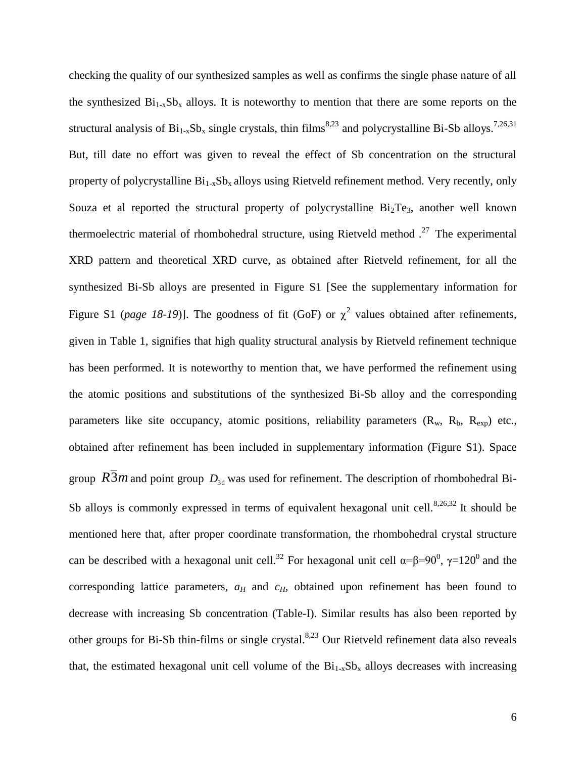checking the quality of our synthesized samples as well as confirms the single phase nature of all the synthesized  $Bi_{1-x}Sb_x$  alloys. It is noteworthy to mention that there are some reports on the structural analysis of  $Bi_{1-x}Sb_x$  single crystals, thin films<sup>8,23</sup> and polycrystalline Bi-Sb alloys.<sup>7,26,31</sup> But, till date no effort was given to reveal the effect of Sb concentration on the structural property of polycrystalline  $Bi_{1-x}Sb_x$  alloys using Rietveld refinement method. Very recently, only Souza et al reported the structural property of polycrystalline  $Bi_2Te_3$ , another well known thermoelectric material of rhombohedral structure, using Rietveld method  $1^{27}$  The experimental XRD pattern and theoretical XRD curve, as obtained after Rietveld refinement, for all the synthesized Bi-Sb alloys are presented in Figure S1 [See the supplementary information for Figure S1 (*page 18-19*)]. The goodness of fit (GoF) or  $\chi^2$  values obtained after refinements, given in Table 1, signifies that high quality structural analysis by Rietveld refinement technique has been performed. It is noteworthy to mention that, we have performed the refinement using the atomic positions and substitutions of the synthesized Bi-Sb alloy and the corresponding parameters like site occupancy, atomic positions, reliability parameters  $(R_w, R_b, R_{exp})$  etc., obtained after refinement has been included in supplementary information (Figure S1). Space group  $R3m$  and point group  $D<sub>3d</sub>$  was used for refinement. The description of rhombohedral Bi-Sb alloys is commonly expressed in terms of equivalent hexagonal unit cell. $8,26,32$  It should be mentioned here that, after proper coordinate transformation, the rhombohedral crystal structure can be described with a hexagonal unit cell.<sup>32</sup> For hexagonal unit cell  $\alpha = \beta = 90^{\circ}$ ,  $\gamma = 120^{\circ}$  and the corresponding lattice parameters,  $a_H$  and  $c_H$ , obtained upon refinement has been found to decrease with increasing Sb concentration (Table-I). Similar results has also been reported by other groups for Bi-Sb thin-films or single crystal.<sup>8,23</sup> Our Rietveld refinement data also reveals that, the estimated hexagonal unit cell volume of the  $Bi_{1-x}Sb_x$  alloys decreases with increasing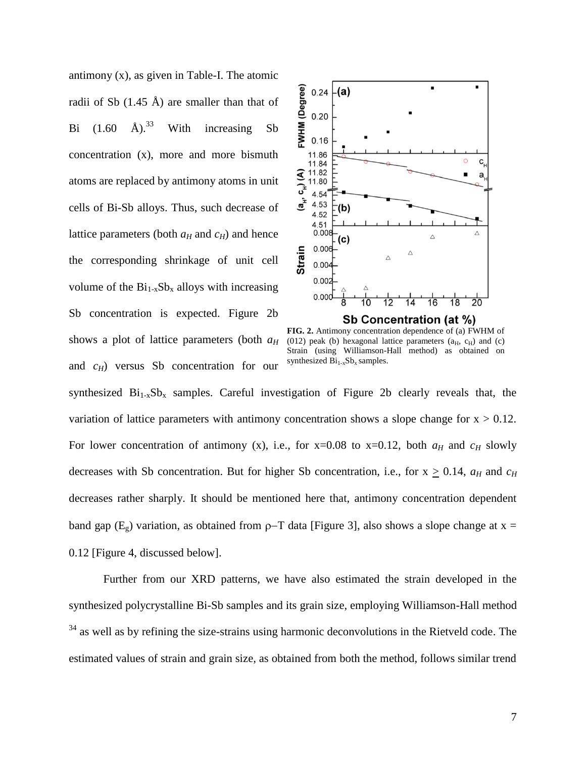antimony (x), as given in Table-I. The atomic radii of Sb  $(1.45 \text{ Å})$  are smaller than that of Bi  $(1.60 \text{ Å})^{33}$  With increasing Sb concentration (x), more and more bismuth atoms are replaced by antimony atoms in unit cells of Bi-Sb alloys. Thus, such decrease of lattice parameters (both  $a_H$  and  $c_H$ ) and hence the corresponding shrinkage of unit cell volume of the  $Bi_{1-x}Sb_x$  alloys with increasing Sb concentration is expected. Figure 2b shows a plot of lattice parameters (both *a<sup>H</sup>* and *cH*) versus Sb concentration for our



**FIG. 2.** Antimony concentration dependence of (a) FWHM of (012) peak (b) hexagonal lattice parameters  $(a_H, c_H)$  and (c) Strain (using Williamson-Hall method) as obtained on synthesized  $Bi_{1-x}Sb_x$  samples.

synthesized  $Bi_{1-x}Sb_x$  samples. Careful investigation of Figure 2b clearly reveals that, the variation of lattice parameters with antimony concentration shows a slope change for  $x > 0.12$ . For lower concentration of antimony (x), i.e., for  $x=0.08$  to  $x=0.12$ , both  $a_H$  and  $c_H$  slowly decreases with Sb concentration. But for higher Sb concentration, i.e., for  $x > 0.14$ ,  $a_H$  and  $c_H$ decreases rather sharply. It should be mentioned here that, antimony concentration dependent band gap ( $E_{g}$ ) variation, as obtained from  $\rho$ -T data [Figure 3], also shows a slope change at x = 0.12 [Figure 4, discussed below].

Further from our XRD patterns, we have also estimated the strain developed in the synthesized polycrystalline Bi-Sb samples and its grain size, employing Williamson-Hall method  $34$  as well as by refining the size-strains using harmonic deconvolutions in the Rietveld code. The estimated values of strain and grain size, as obtained from both the method, follows similar trend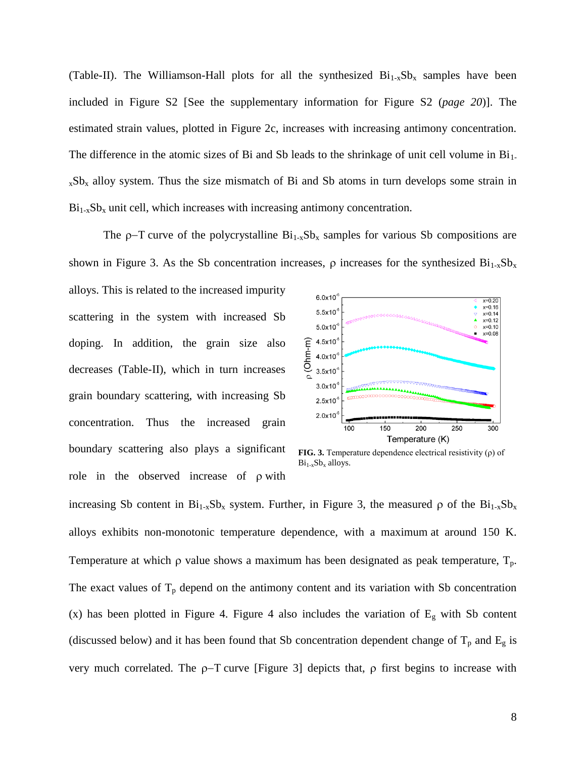(Table-II). The Williamson-Hall plots for all the synthesized  $Bi_{1-x}Sb_x$  samples have been included in Figure S2 [See the supplementary information for Figure S2 (*page 20*)]. The estimated strain values, plotted in Figure 2c, increases with increasing antimony concentration. The difference in the atomic sizes of Bi and Sb leads to the shrinkage of unit cell volume in  $Bi<sub>1</sub>$ .  $xSb_x$  alloy system. Thus the size mismatch of Bi and Sb atoms in turn develops some strain in  $Bi_{1-x}Sb_x$  unit cell, which increases with increasing antimony concentration.

The  $\rho$ -T curve of the polycrystalline  $Bi_{1-x}Sb_x$  samples for various Sb compositions are shown in Figure 3. As the Sb concentration increases,  $\rho$  increases for the synthesized  $Bi_{1-x}Sb_x$ 

alloys. This is related to the increased impurity scattering in the system with increased Sb doping. In addition, the grain size also decreases (Table-II), which in turn increases grain boundary scattering, with increasing Sb concentration. Thus the increased grain boundary scattering also plays a significant role in the observed increase of  $\rho$  with



**FIG. 3.** Temperature dependence electrical resistivity (ρ) of  $Bi_{1-x}Sb_x$  alloys.

increasing Sb content in  $Bi_{1-x}Sb_x$  system. Further, in Figure 3, the measured  $\rho$  of the  $Bi_{1-x}Sb_x$ alloys exhibits non-monotonic temperature dependence, with a maximum at around 150 K. Temperature at which  $\rho$  value shows a maximum has been designated as peak temperature,  $T_p$ . The exact values of  $T_p$  depend on the antimony content and its variation with Sb concentration (x) has been plotted in Figure 4. Figure 4 also includes the variation of  $E<sub>g</sub>$  with Sb content (discussed below) and it has been found that Sb concentration dependent change of  $T_p$  and  $E_g$  is very much correlated. The  $\rho$ -T curve [Figure 3] depicts that,  $\rho$  first begins to increase with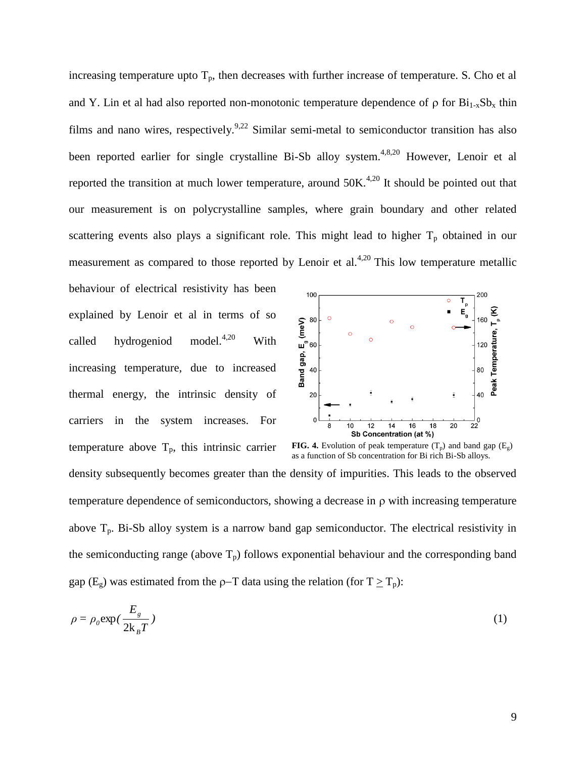increasing temperature upto  $T_p$ , then decreases with further increase of temperature. S. Cho et al and Y. Lin et al had also reported non-monotonic temperature dependence of  $\rho$  for  $Bi_{1-x}Sb_x$  thin films and nano wires, respectively.<sup>9,22</sup> Similar semi-metal to semiconductor transition has also been reported earlier for single crystalline Bi-Sb alloy system.<sup>4,8,20</sup> However, Lenoir et al reported the transition at much lower temperature, around  $50K<sup>4,20</sup>$  It should be pointed out that our measurement is on polycrystalline samples, where grain boundary and other related scattering events also plays a significant role. This might lead to higher  $T_p$  obtained in our measurement as compared to those reported by Lenoir et al.<sup>4,20</sup> This low temperature metallic

behaviour of electrical resistivity has been explained by Lenoir et al in terms of so called hydrogeniod model. $4,20$  With increasing temperature, due to increased thermal energy, the intrinsic density of carriers in the system increases. For temperature above  $T_p$ , this intrinsic carrier



**FIG. 4.** Evolution of peak temperature  $(T_p)$  and band gap  $(E_g)$ as a function of Sb concentration for Bi rich Bi-Sb alloys.

density subsequently becomes greater than the density of impurities. This leads to the observed temperature dependence of semiconductors, showing a decrease in  $\rho$  with increasing temperature above  $T_p$ . Bi-Sb alloy system is a narrow band gap semiconductor. The electrical resistivity in the semiconducting range (above  $T_p$ ) follows exponential behaviour and the corresponding band gap (E<sub>g</sub>) was estimated from the  $\rho$ -T data using the relation (for T  $\geq$  T<sub>p</sub>):

$$
\rho = \rho_0 \exp\left(\frac{E_g}{2k_B T}\right) \tag{1}
$$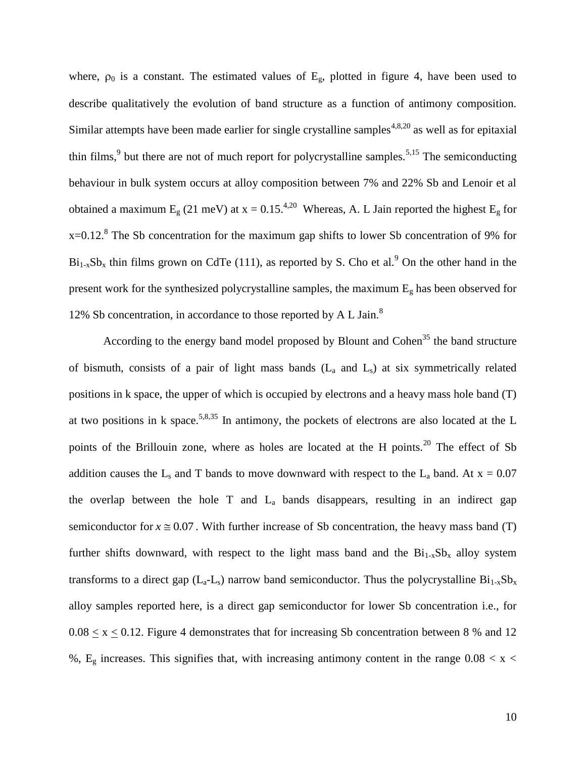where,  $\rho_0$  is a constant. The estimated values of  $E_g$ , plotted in figure 4, have been used to describe qualitatively the evolution of band structure as a function of antimony composition. Similar attempts have been made earlier for single crystalline samples<sup> $4,8,20$ </sup> as well as for epitaxial thin films,  $9$  but there are not of much report for polycrystalline samples.<sup>5,15</sup> The semiconducting behaviour in bulk system occurs at alloy composition between 7% and 22% Sb and Lenoir et al obtained a maximum  $E_g$  (21 meV) at x = 0.15.<sup>4,20</sup> Whereas, A. L Jain reported the highest  $E_g$  for  $x=0.12$ .<sup>8</sup> The Sb concentration for the maximum gap shifts to lower Sb concentration of 9% for  $Bi_{1-x}Sb_x$  thin films grown on CdTe (111), as reported by S. Cho et al.<sup>9</sup> On the other hand in the present work for the synthesized polycrystalline samples, the maximum E<sup>g</sup> has been observed for 12% Sb concentration, in accordance to those reported by A L Jain.<sup>8</sup>

According to the energy band model proposed by Blount and Cohen<sup>35</sup> the band structure of bismuth, consists of a pair of light mass bands  $(L_a$  and  $L_s$ ) at six symmetrically related positions in k space, the upper of which is occupied by electrons and a heavy mass hole band (T) at two positions in k space.<sup>5,8,35</sup> In antimony, the pockets of electrons are also located at the L points of the Brillouin zone, where as holes are located at the H points.<sup>20</sup> The effect of Sb addition causes the L<sub>s</sub> and T bands to move downward with respect to the L<sub>a</sub> band. At  $x = 0.07$ the overlap between the hole  $T$  and  $L_a$  bands disappears, resulting in an indirect gap semiconductor for  $x \approx 0.07$ . With further increase of Sb concentration, the heavy mass band (T) further shifts downward, with respect to the light mass band and the  $Bi_{1-x}Sb_x$  alloy system transforms to a direct gap  $(L_a-L_s)$  narrow band semiconductor. Thus the polycrystalline  $Bi_{1-x}Sb_x$ alloy samples reported here, is a direct gap semiconductor for lower Sb concentration i.e., for  $0.08 \le x \le 0.12$ . Figure 4 demonstrates that for increasing Sb concentration between 8 % and 12 %,  $E<sub>g</sub>$  increases. This signifies that, with increasing antimony content in the range  $0.08 < x <$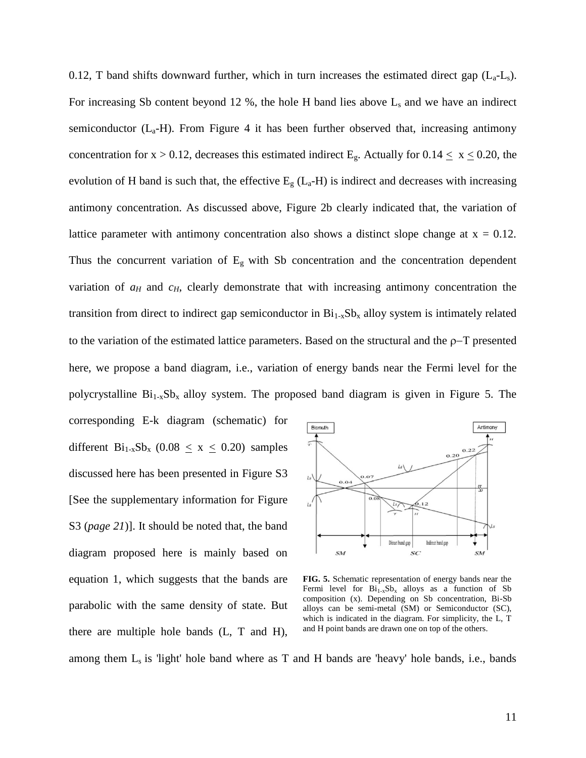0.12, T band shifts downward further, which in turn increases the estimated direct gap  $(L_a-L_s)$ . For increasing Sb content beyond 12 %, the hole H band lies above  $L_s$  and we have an indirect semiconductor  $(L_a-H)$ . From Figure 4 it has been further observed that, increasing antimony concentration for  $x > 0.12$ , decreases this estimated indirect E<sub>g</sub>. Actually for  $0.14 \le x \le 0.20$ , the evolution of H band is such that, the effective  $E_g$  ( $L_a$ -H) is indirect and decreases with increasing antimony concentration. As discussed above, Figure 2b clearly indicated that, the variation of lattice parameter with antimony concentration also shows a distinct slope change at  $x = 0.12$ . Thus the concurrent variation of  $E_g$  with Sb concentration and the concentration dependent variation of  $a_H$  and  $c_H$ , clearly demonstrate that with increasing antimony concentration the transition from direct to indirect gap semiconductor in  $Bi_{1-x}Sb_x$  alloy system is intimately related to the variation of the estimated lattice parameters. Based on the structural and the  $p-T$  presented here, we propose a band diagram, i.e., variation of energy bands near the Fermi level for the polycrystalline  $Bi_{1-x}Sb_x$  alloy system. The proposed band diagram is given in Figure 5. The

corresponding E-k diagram (schematic) for different  $Bi_{1-x}Sb_x$  (0.08  $\leq$  x  $\leq$  0.20) samples discussed here has been presented in Figure S3 [See the supplementary information for Figure S3 (*page 21*)]. It should be noted that, the band diagram proposed here is mainly based on equation 1, which suggests that the bands are parabolic with the same density of state. But there are multiple hole bands (L, T and H),



**FIG. 5.** Schematic representation of energy bands near the Fermi level for  $Bi_{1-x}Sb_x$  alloys as a function of Sb composition (x). Depending on Sb concentration, Bi-Sb alloys can be semi-metal (SM) or Semiconductor (SC), which is indicated in the diagram. For simplicity, the L, T and H point bands are drawn one on top of the others.

among them  $L_s$  is 'light' hole band where as T and H bands are 'heavy' hole bands, i.e., bands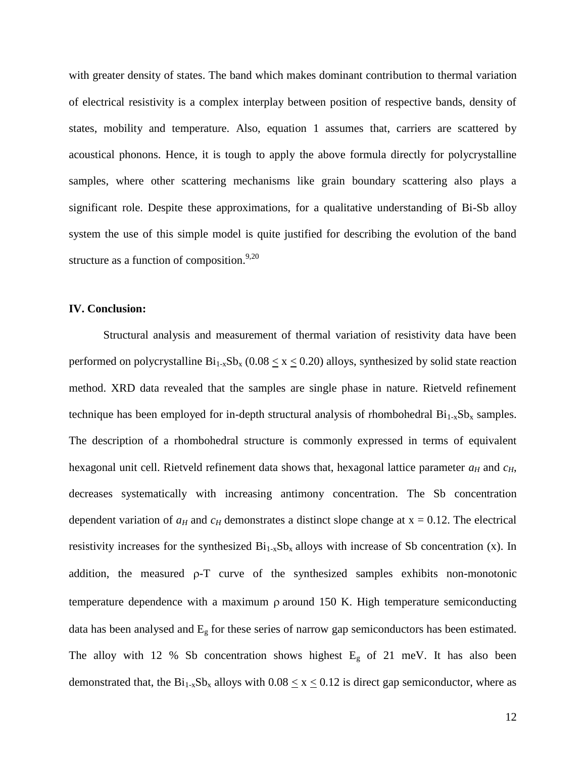with greater density of states. The band which makes dominant contribution to thermal variation of electrical resistivity is a complex interplay between position of respective bands, density of states, mobility and temperature. Also, equation 1 assumes that, carriers are scattered by acoustical phonons. Hence, it is tough to apply the above formula directly for polycrystalline samples, where other scattering mechanisms like grain boundary scattering also plays a significant role. Despite these approximations, for a qualitative understanding of Bi-Sb alloy system the use of this simple model is quite justified for describing the evolution of the band structure as a function of composition. $9,20$ 

### **IV. Conclusion:**

Structural analysis and measurement of thermal variation of resistivity data have been performed on polycrystalline  $Bi_{1-x}Sb_x$  (0.08  $\leq$  x  $\leq$  0.20) alloys, synthesized by solid state reaction method. XRD data revealed that the samples are single phase in nature. Rietveld refinement technique has been employed for in-depth structural analysis of rhombohedral  $Bi_{1-x}Sb_x$  samples. The description of a rhombohedral structure is commonly expressed in terms of equivalent hexagonal unit cell. Rietveld refinement data shows that, hexagonal lattice parameter  $a_H$  and  $c_H$ , decreases systematically with increasing antimony concentration. The Sb concentration dependent variation of  $a_H$  and  $c_H$  demonstrates a distinct slope change at  $x = 0.12$ . The electrical resistivity increases for the synthesized  $Bi_{1-x}Sb_x$  alloys with increase of Sb concentration (x). In addition, the measured  $\rho$ -T curve of the synthesized samples exhibits non-monotonic temperature dependence with a maximum  $\rho$  around 150 K. High temperature semiconducting data has been analysed and E<sup>g</sup> for these series of narrow gap semiconductors has been estimated. The alloy with 12 % Sb concentration shows highest  $E<sub>g</sub>$  of 21 meV. It has also been demonstrated that, the  $Bi_{1-x}Sb_x$  alloys with  $0.08 \le x \le 0.12$  is direct gap semiconductor, where as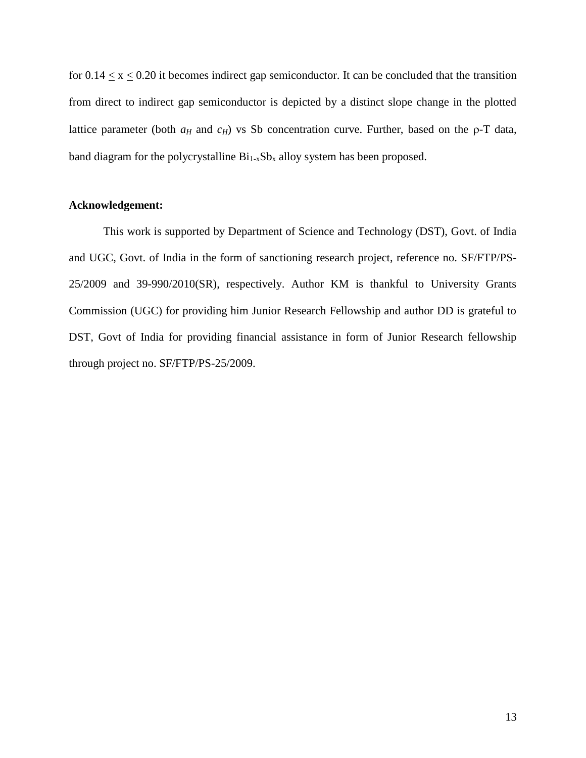for  $0.14 \le x \le 0.20$  it becomes indirect gap semiconductor. It can be concluded that the transition from direct to indirect gap semiconductor is depicted by a distinct slope change in the plotted lattice parameter (both  $a_H$  and  $c_H$ ) vs Sb concentration curve. Further, based on the  $\rho$ -T data, band diagram for the polycrystalline  $Bi_{1-x}Sb_x$  alloy system has been proposed.

#### **Acknowledgement:**

This work is supported by Department of Science and Technology (DST), Govt. of India and UGC, Govt. of India in the form of sanctioning research project, reference no. SF/FTP/PS-25/2009 and 39-990/2010(SR), respectively. Author KM is thankful to University Grants Commission (UGC) for providing him Junior Research Fellowship and author DD is grateful to DST, Govt of India for providing financial assistance in form of Junior Research fellowship through project no. SF/FTP/PS-25/2009.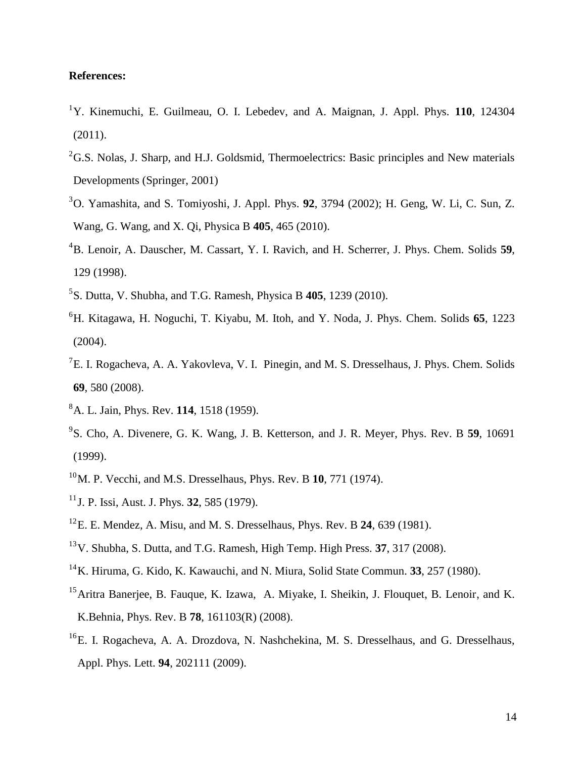# **References:**

- <sup>1</sup>Y. Kinemuchi, E. Guilmeau, O. I. Lebedev, and A. Maignan, J. Appl. Phys. **110**, 124304  $(2011).$
- ${}^{2}$ G.S. Nolas, J. Sharp, and H.J. Goldsmid, Thermoelectrics: Basic principles and New materials Developments (Springer, 2001)
- <sup>3</sup>O. Yamashita, and S. Tomiyoshi, J. Appl. Phys. **92**, 3794 (2002); H. Geng, W. Li, C. Sun, Z. Wang, G. Wang, and X. Qi, Physica B **405**, 465 (2010).
- <sup>4</sup>B. Lenoir, A. Dauscher, M. Cassart, Y. I. Ravich, and H. Scherrer, J. Phys. Chem. Solids **59**, 129 (1998).
- 5 S. Dutta, V. Shubha, and T.G. Ramesh, Physica B **405**, 1239 (2010).
- <sup>6</sup>H. Kitagawa, H. Noguchi, T. Kiyabu, M. Itoh, and Y. Noda, J. Phys. Chem. Solids **65**, 1223  $(2004)$ .
- ${}^{7}E$ . I. Rogacheva, A. A. Yakovleva, V. I. Pinegin, and M. S. Dresselhaus, J. Phys. Chem. Solids **69**, 580 (2008).
- <sup>8</sup>A. L. Jain, Phys. Rev. **114**, 1518 (1959).
- 9 S. Cho, A. Divenere, G. K. Wang, J. B. Ketterson, and J. R. Meyer, Phys. Rev. B **59**, 10691 (1999).
- <sup>10</sup>M. P. Vecchi, and M.S. Dresselhaus, Phys. Rev. B **10**, 771 (1974).
- <sup>11</sup>J. P. Issi, Aust. J. Phys. **32**, 585 (1979).
- <sup>12</sup>E. E. Mendez, A. Misu, and M. S. Dresselhaus, Phys. Rev. B **24**, 639 (1981).
- <sup>13</sup>V. Shubha, S. Dutta, and T.G. Ramesh, High Temp. High Press. **37**, 317 (2008).
- <sup>14</sup>K. Hiruma, G. Kido, K. Kawauchi, and N. Miura, Solid State Commun. **33**, 257 (1980).
- <sup>15</sup>Aritra Banerjee, B. Fauque, K. Izawa, A. Miyake, I. Sheikin, J. Flouquet, B. Lenoir, and K. K.Behnia, Phys. Rev. B **78**, 161103(R) (2008).
- <sup>16</sup>E. I. Rogacheva, A. A. Drozdova, N. Nashchekina, M. S. Dresselhaus, and G. Dresselhaus, Appl. Phys. Lett. **94**, 202111 (2009).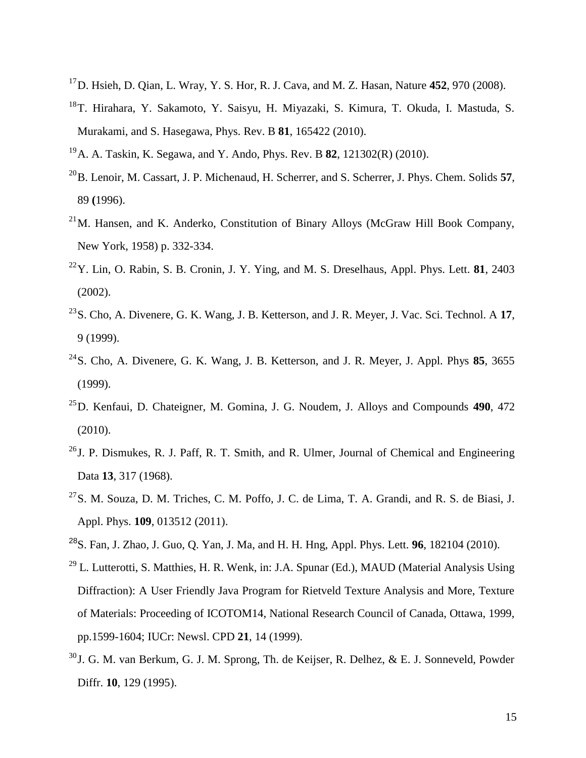- <sup>17</sup>D. Hsieh, D. Qian, L. Wray, Y. S. Hor, R. J. Cava, and M. Z. Hasan, Nature **452**, 970 (2008).
- <sup>18</sup>T. Hirahara, Y. Sakamoto, Y. Saisyu, H. Miyazaki, S. Kimura, T. Okuda, I. Mastuda, S. Murakami, and S. Hasegawa, Phys. Rev. B **81**, 165422 (2010).
- <sup>19</sup>A. A. Taskin, K. Segawa, and Y. Ando, Phys. Rev. B **82**, 121302(R) (2010).
- <sup>20</sup>B. Lenoir, M. Cassart, J. P. Michenaud, H. Scherrer, and S. Scherrer, J. Phys. Chem. Solids **57**, 89 **(**1996).
- $^{21}$ M. Hansen, and K. Anderko, Constitution of Binary Alloys (McGraw Hill Book Company, New York, 1958) p. 332-334.
- <sup>22</sup>Y. Lin, O. Rabin, S. B. Cronin, J. Y. Ying, and M. S. Dreselhaus, Appl. Phys. Lett. **81**, 2403 (2002).
- <sup>23</sup>S. Cho, A. Divenere, G. K. Wang, J. B. Ketterson, and J. R. Meyer, J. Vac. Sci. Technol. A **17**, 9 (1999).
- <sup>24</sup>S. Cho, A. Divenere, G. K. Wang, J. B. Ketterson, and J. R. Meyer, J. Appl. Phys **85**, 3655 (1999).
- <sup>25</sup>D. Kenfaui, D. Chateigner, M. Gomina, J. G. Noudem, J. Alloys and Compounds **490**, 472 (2010).
- <sup>26</sup> J. P. Dismukes, R. J. Paff, R. T. Smith, and R. Ulmer, Journal of Chemical and Engineering Data **13**, 317 (1968).
- <sup>27</sup>S. M. Souza, D. M. Triches, C. M. Poffo, J. C. de Lima, T. A. Grandi, and R. S. de Biasi, J. Appl. Phys. **109**, 013512 (2011).
- <sup>28</sup>S. Fan, J. Zhao, J. Guo, Q. Yan, J. Ma, and H. H. Hng, Appl. Phys. Lett. **96**, 182104 (2010).
- <sup>29</sup> L. Lutterotti, S. Matthies, H. R. Wenk, in: J.A. Spunar (Ed.), MAUD (Material Analysis Using Diffraction): A User Friendly Java Program for Rietveld Texture Analysis and More, Texture of Materials: Proceeding of ICOTOM14, National Research Council of Canada, Ottawa, 1999, pp.1599-1604; IUCr: Newsl. CPD **21**, 14 (1999).
- $30$ J. G. M. van Berkum, G. J. M. Sprong, Th. de Keijser, R. Delhez, & E. J. Sonneveld, Powder Diffr. **10**, 129 (1995).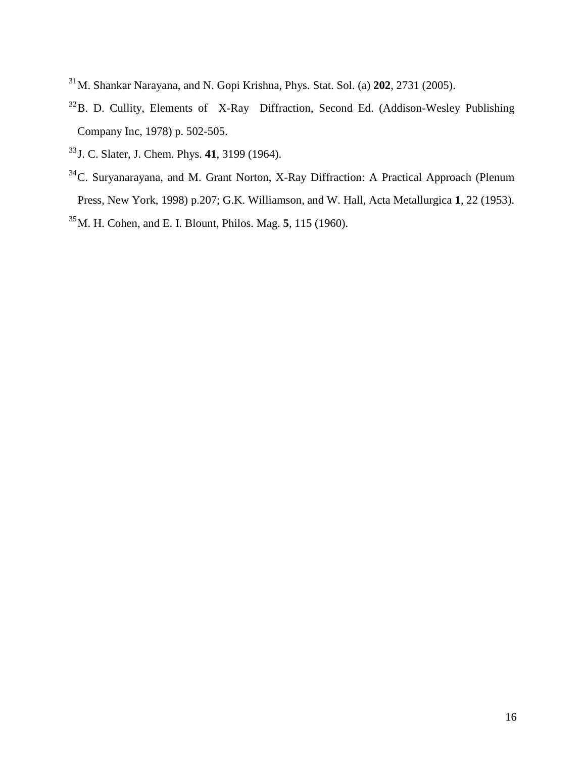- <sup>31</sup>M. Shankar Narayana, and N. Gopi Krishna, Phys. Stat. Sol. (a) **202**, 2731 (2005).
- <sup>32</sup>B. D. Cullity, Elements of X-Ray Diffraction, Second Ed. (Addison-Wesley Publishing Company Inc, 1978) p. 502-505.
- <sup>33</sup>J. C. Slater, J. Chem. Phys. **41**, 3199 (1964).
- <sup>34</sup>C. Suryanarayana, and M. Grant Norton, X-Ray Diffraction: A Practical Approach (Plenum Press, New York, 1998) p.207; G.K. Williamson, and W. Hall, Acta Metallurgica **1**, 22 (1953). <sup>35</sup>M. H. Cohen, and E. I. Blount, Philos. Mag. **5**, 115 (1960).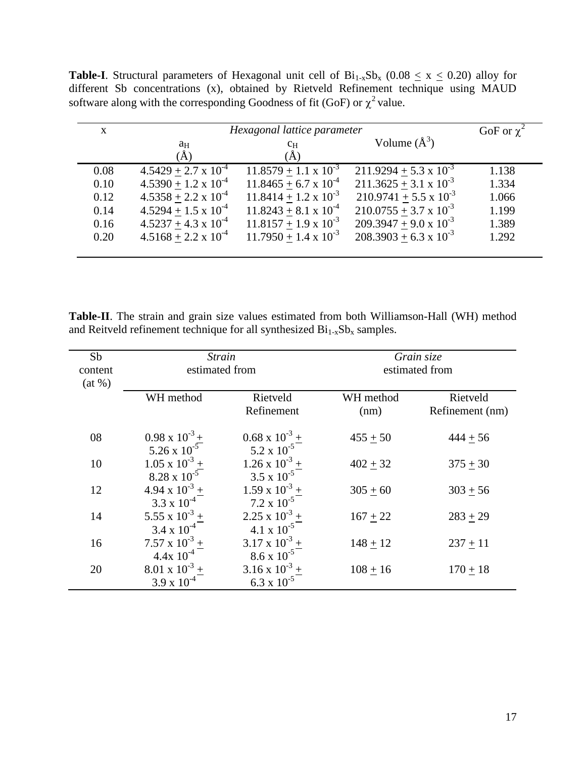**Table-I**. Structural parameters of Hexagonal unit cell of  $Bi_{1-x}Sb_x$  (0.08  $\le x \le 0.20$ ) alloy for different Sb concentrations (x), obtained by Rietveld Refinement technique using MAUD software along with the corresponding Goodness of fit (GoF) or  $\chi^2$  value.

| $\mathbf{X}$ | Hexagonal lattice parameter   | GoF or $\chi^2$                |                                 |       |
|--------------|-------------------------------|--------------------------------|---------------------------------|-------|
|              | aн                            | $c_{\rm H}$                    | Volume $(\AA^3)$                |       |
| 0.08         | $4.5429 + 2.7 \times 10^{-4}$ | $11.8579 + 1.1 \times 10^{-3}$ | $211.9294 + 5.3 \times 10^{-3}$ | 1.138 |
| 0.10         | $4.5390 + 1.2 \times 10^{-4}$ | $11.8465 + 6.7 \times 10^{-4}$ | $211.3625 + 3.1 \times 10^{-3}$ | 1.334 |
| 0.12         | $4.5358 + 2.2 \times 10^{-4}$ | $11.8414 + 1.2 \times 10^{-3}$ | $210.9741 + 5.5 \times 10^{-3}$ | 1.066 |
| 0.14         | $4.5294 + 1.5 \times 10^{-4}$ | $11.8243 + 8.1 \times 10^{-4}$ | $210.0755 + 3.7 \times 10^{-3}$ | 1.199 |
| 0.16         | $4.5237 + 4.3 \times 10^{-4}$ | $11.8157 + 1.9 \times 10^{-3}$ | $209.3947 + 9.0 \times 10^{-3}$ | 1.389 |
| 0.20         | $4.5168 + 2.2 \times 10^{-4}$ | $11.7950 + 1.4 \times 10^{-3}$ | $208.3903 + 6.3 \times 10^{-3}$ | 1.292 |
|              |                               |                                |                                 |       |

**Table-II**. The strain and grain size values estimated from both Williamson-Hall (WH) method and Reitveld refinement technique for all synthesized  $Bi_{1-x}Sb_x$  samples.

| Sb<br>content | <i>Strain</i><br>estimated from |                         | Grain size<br>estimated from |                 |
|---------------|---------------------------------|-------------------------|------------------------------|-----------------|
| (at %)        |                                 |                         |                              |                 |
|               | WH method                       | Rietveld                | WH method                    | Rietveld        |
|               |                                 | Refinement              | (nm)                         | Refinement (nm) |
| 08            | $0.98 \times 10^{-3}$ +         | $0.68 \times 10^{-3}$ + | $455 + 50$                   | $444 + 56$      |
|               | 5.26 x $10^{-5}$                | $5.2 \times 10^{-5}$    |                              |                 |
| 10            | $1.05 \times 10^{-3} +$         | $1.26 \times 10^{-3} +$ | $402 + 32$                   | $375 + 30$      |
|               | $8.28 \times 10^{-5}$           | $3.5 \times 10^{-5}$    |                              |                 |
| 12            | $4.94 \times 10^{-3} +$         | $1.59 \times 10^{-3} +$ | $305 + 60$                   | $303 + 56$      |
|               | $3.3 \times 10^{-4}$            | $7.2 \times 10^{-5}$    |                              |                 |
| 14            | 5.55 x $10^{-3}$ +              | $2.25 \times 10^{-3} +$ | $167 + 22$                   | $283 + 29$      |
|               | $3.4 \times 10^{-4}$            | 4.1 x $10^{-5}$         |                              |                 |
| 16            | $7.57 \times 10^{-3} +$         | $3.17 \times 10^{-3} +$ | $148 + 12$                   | $237 + 11$      |
|               | $4.4x 10^{-4}$                  | $8.6 \times 10^{-5}$    |                              |                 |
| 20            | $8.01 \times 10^{-3} +$         | $3.16 \times 10^{-3} +$ | $108 + 16$                   | $170 + 18$      |
|               | $3.9 \times 10^{-4}$            | $6.3 \times 10^{-5}$    |                              |                 |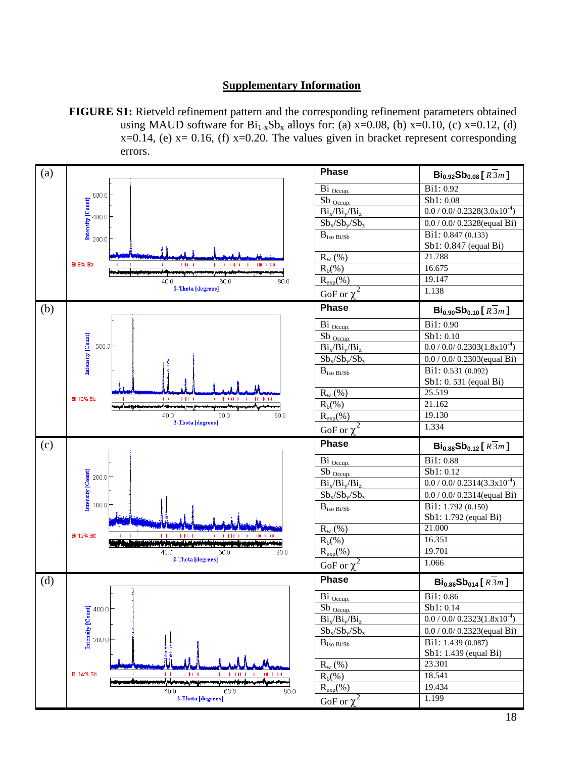## **Supplementary Information**

**FIGURE S1:** Rietveld refinement pattern and the corresponding refinement parameters obtained using MAUD software for  $Bi_{1-x}Sb_x$  alloys for: (a) x=0.08, (b) x=0.10, (c) x=0.12, (d)  $x=0.14$ , (e)  $x=0.16$ , (f)  $x=0.20$ . The values given in bracket represent corresponding errors.

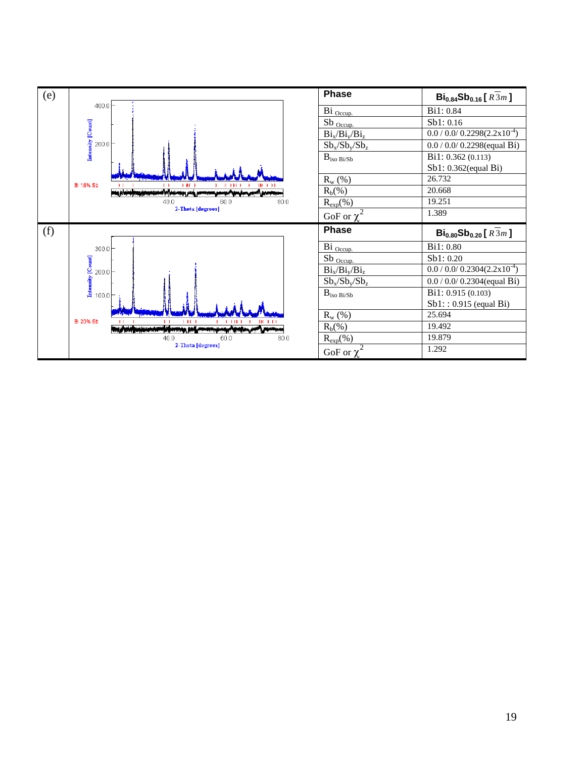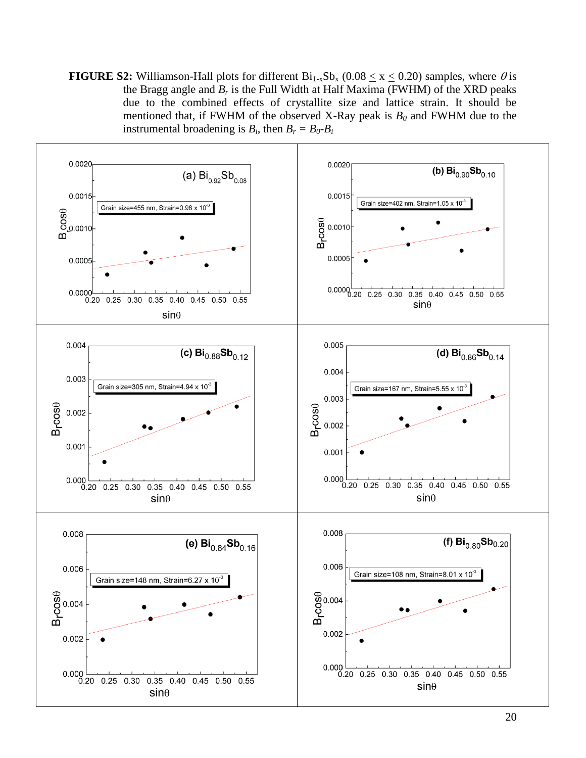**FIGURE S2:** Williamson-Hall plots for different  $Bi_{1-x}Sb_x$  (0.08 < x < 0.20) samples, where  $\theta$  is the Bragg angle and  $B_r$  is the Full Width at Half Maxima (FWHM) of the XRD peaks due to the combined effects of crystallite size and lattice strain. It should be mentioned that, if FWHM of the observed X-Ray peak is  $B_0$  and FWHM due to the instrumental broadening is  $B_i$ , then  $B_r = B_0 - B_i$